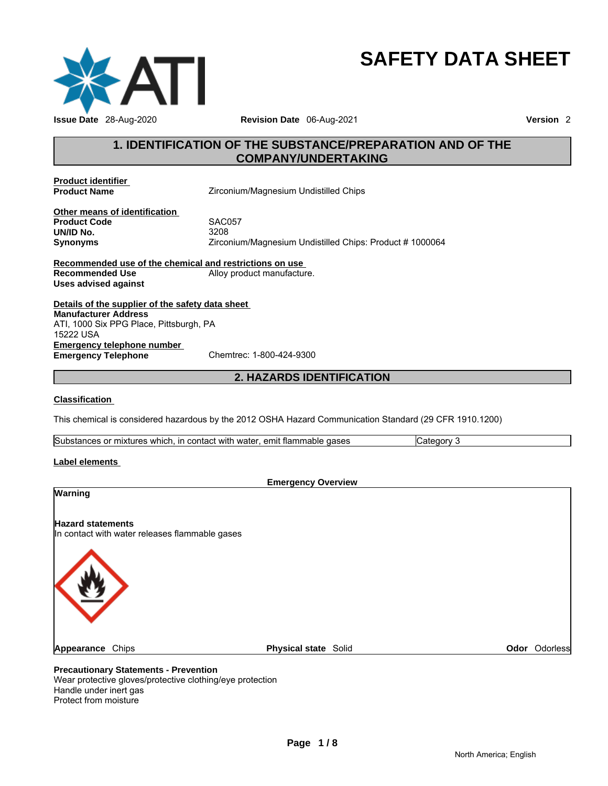

# **SAFETY DATA SHEET**

# **1. IDENTIFICATION OF THE SUBSTANCE/PREPARATION AND OF THE COMPANY/UNDERTAKING**

**Product identifier** 

**Product Name** *Zirconium/Magnesium Undistilled Chips* 

**Other means of identification Product Code** SAC057 **UN/ID No.**<br>Synonyms

**Synonyms** Zirconium/Magnesium Undistilled Chips: Product # 1000064

**Recommended use of the chemical and restrictions on use Recommended Use 6 Alloy product manufacture. Uses advised against** 

**Details of the supplier of the safety data sheet Emergency telephone number<br>
Emergency Telephone**<br>
Chemtrec: 1-800-424-9300 **Emergency Telephone Manufacturer Address** ATI, 1000 Six PPG Place, Pittsburgh, PA 15222 USA

**2. HAZARDS IDENTIFICATION** 

#### **Classification**

This chemical is considered hazardous by the 2012 OSHA Hazard Communication Standard (29 CFR 1910.1200)

Substances or mixtures which, in contact with water, emit flammable gases Category 3

#### **Label elements**

| <b>Emergency Overview</b>                                                  |                             |                      |
|----------------------------------------------------------------------------|-----------------------------|----------------------|
| Warning                                                                    |                             |                      |
| <b>Hazard statements</b><br>In contact with water releases flammable gases |                             |                      |
|                                                                            |                             |                      |
| Appearance Chips                                                           | <b>Physical state Solid</b> | <b>Odor</b> Odorless |
|                                                                            |                             |                      |

#### **Precautionary Statements - Prevention**

Wear protective gloves/protective clothing/eye protection Handle under inert gas Protect from moisture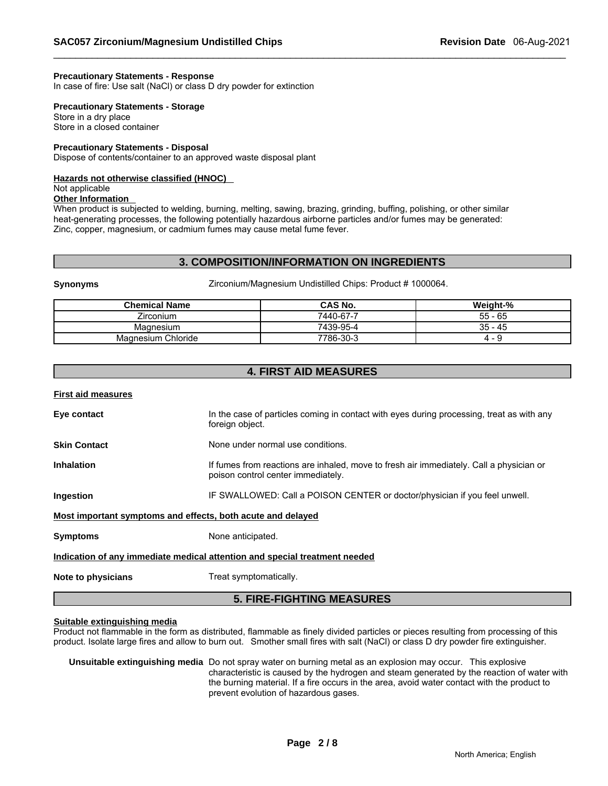#### **Precautionary Statements - Response**

In case of fire: Use salt (NaCl) or class D dry powder for extinction

**Precautionary Statements - Storage**

Store in a dry place Store in a closed container

# **Precautionary Statements - Disposal**

Dispose of contents/container to an approved waste disposal plant

#### **Hazards not otherwise classified (HNOC)**

Not applicable

#### **Other Information**

When product is subjected to welding, burning, melting, sawing, brazing, grinding, buffing, polishing, or other similar heat-generating processes, the following potentially hazardous airborne particles and/or fumes may be generated: Zinc, copper, magnesium, or cadmium fumes may cause metal fume fever.

#### **3. COMPOSITION/INFORMATION ON INGREDIENTS**

**Synonyms** Zirconium/Magnesium Undistilled Chips: Product # 1000064.

| <b>Chemical Name</b> | CAS No.   | Weight-%  |
|----------------------|-----------|-----------|
| Zirconium            | 7440-67-7 | $55 - 65$ |
| Magnesium            | 7439-95-4 | 35 - 45   |
| Magnesium Chloride   | 7786-30-3 | - -<br>д. |

# **4. FIRST AID MEASURES**

| <b>First aid measures</b>                                   |                                                                                                                               |
|-------------------------------------------------------------|-------------------------------------------------------------------------------------------------------------------------------|
| Eye contact                                                 | In the case of particles coming in contact with eyes during processing, treat as with any<br>foreign object.                  |
| <b>Skin Contact</b>                                         | None under normal use conditions.                                                                                             |
| <b>Inhalation</b>                                           | If fumes from reactions are inhaled, move to fresh air immediately. Call a physician or<br>poison control center immediately. |
| Ingestion                                                   | IF SWALLOWED: Call a POISON CENTER or doctor/physician if you feel unwell.                                                    |
| Most important symptoms and effects, both acute and delayed |                                                                                                                               |
| <b>Symptoms</b>                                             | None anticipated.                                                                                                             |
|                                                             | Indication of any immediate medical attention and special treatment needed                                                    |
| Note to physicians                                          | Treat symptomatically.                                                                                                        |

# **5. FIRE-FIGHTING MEASURES**

#### **Suitable extinguishing media**

Product not flammable in the form as distributed, flammable as finely divided particles or pieces resulting from processing of this product. Isolate large fires and allow to burn out. Smother small fires with salt (NaCl) or class D dry powder fire extinguisher.

#### **Unsuitable extinguishing media** Do not spray water on burning metal as an explosion may occur. This explosive characteristic is caused by the hydrogen and steam generated by the reaction of water with the burning material. If a fire occurs in the area, avoid water contact with the product to prevent evolution of hazardous gases.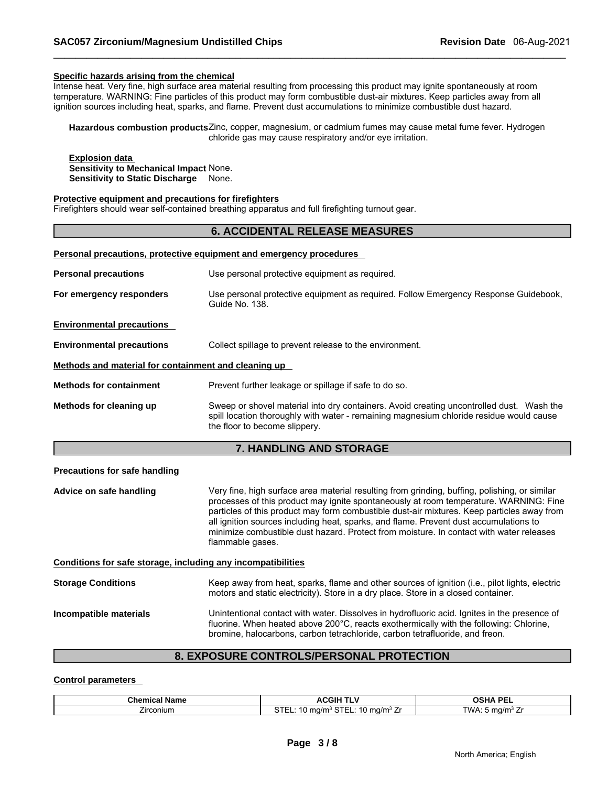#### **Specific hazards arising from the chemical**

Intense heat. Very fine, high surface area material resulting from processing this product may ignite spontaneously at room temperature. WARNING: Fine particles of this product may form combustible dust-air mixtures. Keep particles away from all ignition sources including heat, sparks, and flame. Prevent dust accumulations to minimize combustible dust hazard.

**Hazardous combustion products** Zinc, copper, magnesium, or cadmium fumes may cause metal fume fever. Hydrogen chloride gas may cause respiratory and/or eye irritation.

**Explosion data Sensitivity to Mechanical Impact** None. **Sensitivity to Static Discharge** None.

#### **Protective equipment and precautions for firefighters**

Firefighters should wear self-contained breathing apparatus and full firefighting turnout gear.

# **6. ACCIDENTAL RELEASE MEASURES**

#### **Personal precautions, protective equipment and emergency procedures**

|                                                      | <b>HANDI ING AND STORAGE</b><br>$\overline{ }$                                                                                                                                                                       |
|------------------------------------------------------|----------------------------------------------------------------------------------------------------------------------------------------------------------------------------------------------------------------------|
| Methods for cleaning up                              | Sweep or shovel material into dry containers. Avoid creating uncontrolled dust. Wash the<br>spill location thoroughly with water - remaining magnesium chloride residue would cause<br>the floor to become slippery. |
| <b>Methods for containment</b>                       | Prevent further leakage or spillage if safe to do so.                                                                                                                                                                |
| Methods and material for containment and cleaning up |                                                                                                                                                                                                                      |
| <b>Environmental precautions</b>                     | Collect spillage to prevent release to the environment.                                                                                                                                                              |
| <b>Environmental precautions</b>                     |                                                                                                                                                                                                                      |
| For emergency responders                             | Use personal protective equipment as required. Follow Emergency Response Guidebook,<br>Guide No. 138.                                                                                                                |
| <b>Personal precautions</b>                          | Use personal protective equipment as required.                                                                                                                                                                       |
|                                                      |                                                                                                                                                                                                                      |

#### **7. HANDLING AND STORAGE**

#### **Precautions for safe handling**

**Advice on safe handling** Very fine, high surface area material resulting from grinding, buffing, polishing, or similar processes of this product may ignite spontaneously at room temperature. WARNING: Fine particles of this product may form combustible dust-air mixtures. Keep particles away from all ignition sources including heat, sparks, and flame. Prevent dust accumulations to minimize combustible dust hazard. Protect from moisture. In contact with water releases flammable gases.

**Conditions for safe storage, including any incompatibilities**

**Storage Conditions** Keep away from heat, sparks, flame and other sources of ignition (i.e., pilot lights, electric motors and static electricity). Store in a dry place. Store in a closed container.

**Incompatible materials** Unintentional contact with water. Dissolves in hydrofluoric acid. Ignites in the presence of fluorine. When heated above 200°C, reacts exothermically with the following: Chlorine, bromine, halocarbons, carbon tetrachloride, carbon tetrafluoride, and freon.

# **8. EXPOSURE CONTROLS/PERSONAL PROTECTION**

#### **Control parameters**

| Chemic<br>Name<br>-01 | ACGII<br>۰.                                                                                         | OCUA DEI                     |
|-----------------------|-----------------------------------------------------------------------------------------------------|------------------------------|
| -<br>∠ırconıun        | $\sim$ $\sim$ $\sim$<br>$\sim$ $\sim$ $\sim$<br>$ma/m3$ .<br>$-$ man $-$<br>.na/r<br>חופ<br>$\cdot$ | TWA.<br>$m0/m3$ .<br>$\cdot$ |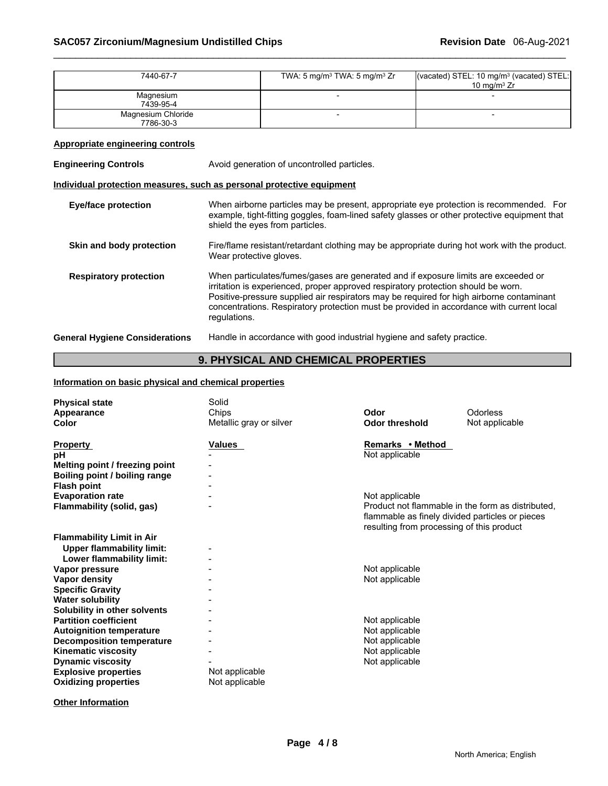| 7440-67-7                                                             | TWA: 5 mg/m <sup>3</sup> TWA: 5 mg/m <sup>3</sup> Zr<br>10 mg/m $3$ Zr                                                                                                                                                                                                                                                                                                          |  | (vacated) STEL: 10 mg/m <sup>3</sup> (vacated) STEL: |  |  |
|-----------------------------------------------------------------------|---------------------------------------------------------------------------------------------------------------------------------------------------------------------------------------------------------------------------------------------------------------------------------------------------------------------------------------------------------------------------------|--|------------------------------------------------------|--|--|
| Magnesium<br>7439-95-4                                                |                                                                                                                                                                                                                                                                                                                                                                                 |  |                                                      |  |  |
| Magnesium Chloride<br>7786-30-3                                       |                                                                                                                                                                                                                                                                                                                                                                                 |  |                                                      |  |  |
| <b>Appropriate engineering controls</b>                               |                                                                                                                                                                                                                                                                                                                                                                                 |  |                                                      |  |  |
| <b>Engineering Controls</b>                                           | Avoid generation of uncontrolled particles.                                                                                                                                                                                                                                                                                                                                     |  |                                                      |  |  |
| Individual protection measures, such as personal protective equipment |                                                                                                                                                                                                                                                                                                                                                                                 |  |                                                      |  |  |
| <b>Eye/face protection</b>                                            | When airborne particles may be present, appropriate eye protection is recommended. For<br>example, tight-fitting goggles, foam-lined safety glasses or other protective equipment that<br>shield the eyes from particles.                                                                                                                                                       |  |                                                      |  |  |
| Skin and body protection                                              | Fire/flame resistant/retardant clothing may be appropriate during hot work with the product.<br>Wear protective gloves.                                                                                                                                                                                                                                                         |  |                                                      |  |  |
| <b>Respiratory protection</b>                                         | When particulates/fumes/gases are generated and if exposure limits are exceeded or<br>irritation is experienced, proper approved respiratory protection should be worn.<br>Positive-pressure supplied air respirators may be required for high airborne contaminant<br>concentrations. Respiratory protection must be provided in accordance with current local<br>regulations. |  |                                                      |  |  |
| <b>General Hygiene Considerations</b>                                 | Handle in accordance with good industrial hygiene and safety practice.                                                                                                                                                                                                                                                                                                          |  |                                                      |  |  |

# **9. PHYSICAL AND CHEMICAL PROPERTIES**

# **Information on basic physical and chemical properties**

| <b>Physical state</b><br>Appearance<br>Color                                                                                                                                                                                                                                           | Solid<br>Chips<br>Metallic gray or silver | Odor<br><b>Odor threshold</b>                                                                                                                                       | <b>Odorless</b><br>Not applicable |
|----------------------------------------------------------------------------------------------------------------------------------------------------------------------------------------------------------------------------------------------------------------------------------------|-------------------------------------------|---------------------------------------------------------------------------------------------------------------------------------------------------------------------|-----------------------------------|
| <b>Property</b><br>рH<br>Melting point / freezing point<br>Boiling point / boiling range<br><b>Flash point</b>                                                                                                                                                                         | <b>Values</b>                             | Remarks • Method<br>Not applicable                                                                                                                                  |                                   |
| <b>Evaporation rate</b><br>Flammability (solid, gas)                                                                                                                                                                                                                                   |                                           | Not applicable<br>Product not flammable in the form as distributed.<br>flammable as finely divided particles or pieces<br>resulting from processing of this product |                                   |
| <b>Flammability Limit in Air</b><br><b>Upper flammability limit:</b><br>Lower flammability limit:<br>Vapor pressure<br>Vapor density<br><b>Specific Gravity</b>                                                                                                                        |                                           | Not applicable<br>Not applicable                                                                                                                                    |                                   |
| <b>Water solubility</b><br>Solubility in other solvents<br><b>Partition coefficient</b><br><b>Autoignition temperature</b><br><b>Decomposition temperature</b><br><b>Kinematic viscosity</b><br><b>Dynamic viscosity</b><br><b>Explosive properties</b><br><b>Oxidizing properties</b> | Not applicable<br>Not applicable          | Not applicable<br>Not applicable<br>Not applicable<br>Not applicable<br>Not applicable                                                                              |                                   |

**Other Information**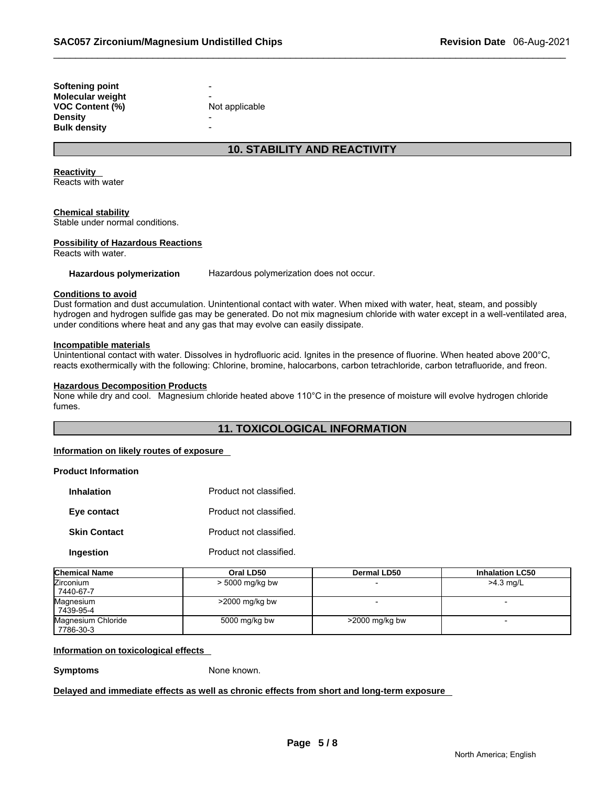| Softening point  | -              |
|------------------|----------------|
| Molecular weight |                |
| VOC Content (%)  | Not applicable |
| Density          |                |
| Bulk density     |                |
|                  |                |

# **10. STABILITY AND REACTIVITY**

**Reactivity** 

Reacts with water

#### **Chemical stability**

Stable under normal conditions.

#### **Possibility of Hazardous Reactions**

Reacts with water.

**Hazardous polymerization** Hazardous polymerization does not occur.

#### **Conditions to avoid**

Dust formation and dust accumulation. Unintentional contact with water. When mixed with water, heat, steam, and possibly hydrogen and hydrogen sulfide gas may be generated. Do not mix magnesium chloride with water except in a well-ventilated area, under conditions where heat and any gas that may evolve can easily dissipate.

#### **Incompatible materials**

Unintentional contact with water. Dissolves in hydrofluoric acid. Ignites in the presence of fluorine. When heated above 200°C, reacts exothermically with the following: Chlorine, bromine, halocarbons, carbon tetrachloride, carbon tetrafluoride, and freon.

#### **Hazardous Decomposition Products**

None while dry and cool. Magnesium chloride heated above 110°C in the presence of moisture will evolve hydrogen chloride fumes.

# **11. TOXICOLOGICAL INFORMATION**

#### **Information on likely routes of exposure**

# **Product Information**

| <b>Inhalation</b>   | Product not classified. |
|---------------------|-------------------------|
| Eye contact         | Product not classified. |
| <b>Skin Contact</b> | Product not classified. |
| Ingestion           | Product not classified. |

| <b>Chemical Name</b>            | Oral LD50         | <b>Dermal LD50</b> | <b>Inhalation LC50</b>   |
|---------------------------------|-------------------|--------------------|--------------------------|
| <b>Zirconium</b><br>7440-67-7   | $>$ 5000 mg/kg bw |                    | $>4.3$ mg/L              |
| Magnesium<br>7439-95-4          | $>2000$ mg/kg bw  |                    |                          |
| Magnesium Chloride<br>7786-30-3 | 5000 mg/kg bw     | $>$ 2000 mg/kg bw  | $\overline{\phantom{0}}$ |

#### **Information on toxicological effects**

**Symptoms** None known.

**Delayed and immediate effects as well as chronic effects from short and long-term exposure**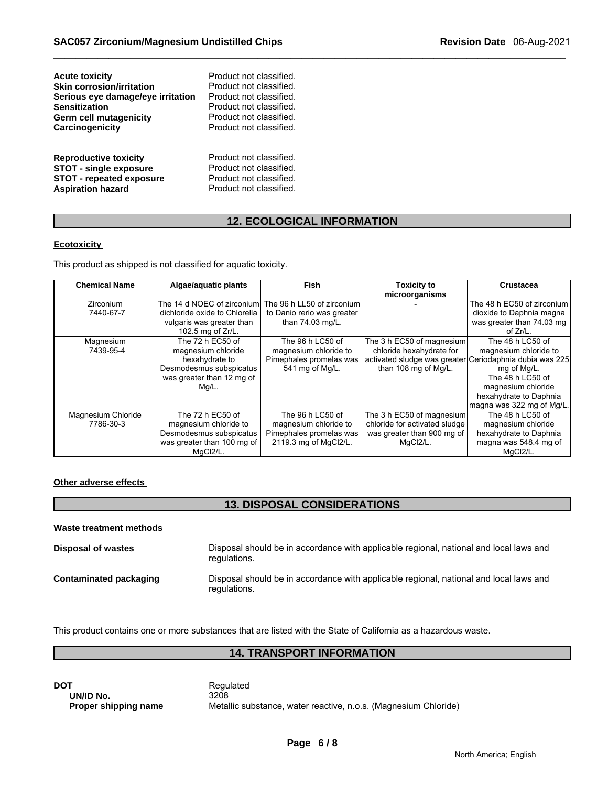| <b>Acute toxicity</b>             | Product not classified. |
|-----------------------------------|-------------------------|
| Skin corrosion/irritation         | Product not classified. |
| Serious eye damage/eye irritation | Product not classified. |
| <b>Sensitization</b>              | Product not classified. |
| Germ cell mutagenicity            | Product not classified. |
| Carcinogenicity                   | Product not classified. |
| <b>Reproductive toxicity</b>      | Product not classified. |
| <b>STOT - single exposure</b>     | Product not classified. |
| <b>STOT - repeated exposure</b>   | Product not classified. |
| <b>Aspiration hazard</b>          | Product not classified. |

# **12. ECOLOGICAL INFORMATION**

# **Ecotoxicity**

This product as shipped is not classified for aquatic toxicity.

| <b>Chemical Name</b> | Algae/aquatic plants                                   | Fish                       | <b>Toxicity to</b><br>microorganisms | <b>Crustacea</b>                                        |
|----------------------|--------------------------------------------------------|----------------------------|--------------------------------------|---------------------------------------------------------|
| <b>Zirconium</b>     | The 14 d NOEC of zirconium. The 96 h LL50 of zirconium |                            |                                      | The 48 h EC50 of zirconium                              |
| 7440-67-7            | dichloride oxide to Chlorella                          | to Danio rerio was greater |                                      | dioxide to Daphnia magna                                |
|                      | vulgaris was greater than                              | than 74.03 mg/L.           |                                      | was greater than 74.03 mg                               |
|                      | 102.5 mg of Zr/L.                                      |                            |                                      | of $Zr/L$ .                                             |
| Magnesium            | The 72 h EC50 of                                       | The 96 h LC50 of           | The 3 h EC50 of magnesium            | The 48 h LC50 of                                        |
| 7439-95-4            | magnesium chloride                                     | magnesium chloride to      | chloride hexahydrate for             | magnesium chloride to                                   |
|                      | hexahydrate to                                         | Pimephales promelas was    |                                      | activated sludge was greater Ceriodaphnia dubia was 225 |
|                      | Desmodesmus subspicatus                                | 541 mg of Mg/L.            | than 108 mg of Mg/L.                 | mg of Mg/L.                                             |
|                      | was greater than 12 mg of                              |                            |                                      | The 48 h LC50 of                                        |
|                      | Mg/L.                                                  |                            |                                      | magnesium chloride                                      |
|                      |                                                        |                            |                                      | hexahydrate to Daphnia                                  |
|                      |                                                        |                            |                                      | Imagna was 322 mg of Mg/L.                              |
| Magnesium Chloride   | The 72 h EC50 of                                       | The 96 h LC50 of           | The 3 h EC50 of magnesium            | The 48 h LC50 of                                        |
| 7786-30-3            | magnesium chloride to                                  | magnesium chloride to      | chloride for activated sludge        | magnesium chloride                                      |
|                      | Desmodesmus subspicatus                                | Pimephales promelas was    | was greater than 900 mg of           | hexahydrate to Daphnia                                  |
|                      | was greater than 100 mg of                             | 2119.3 mg of MgCl2/L.      | MgCl2/L.                             | magna was 548.4 mg of                                   |
|                      | MqCl2/L.                                               |                            |                                      | MqCl2/L.                                                |

# **Other adverse effects**

# **13. DISPOSAL CONSIDERATIONS**

| Waste treatment methods |                                                                                                        |
|-------------------------|--------------------------------------------------------------------------------------------------------|
| Disposal of wastes      | Disposal should be in accordance with applicable regional, national and local laws and<br>regulations. |
| Contaminated packaging  | Disposal should be in accordance with applicable regional, national and local laws and<br>regulations. |

This product contains one or more substances that are listed with the State of California as a hazardous waste.

# **14. TRANSPORT INFORMATION**

**DOT**<br> **DOT**<br> **DOMID No.**<br> **Regulated**<br> **Regulated**<br> **Regulated UN/ID No.**<br>Proper shipping name

Metallic substance, water reactive, n.o.s. (Magnesium Chloride)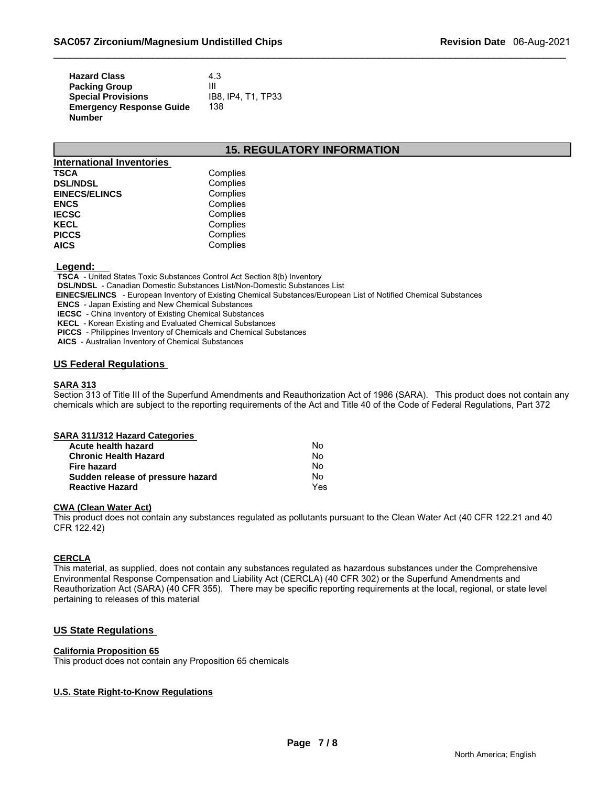| <b>Hazard Class</b>             | 4.3                |
|---------------------------------|--------------------|
| <b>Packing Group</b>            | Ш                  |
| <b>Special Provisions</b>       | IB8. IP4. T1. TP33 |
| <b>Emergency Response Guide</b> | 138                |
| <b>Number</b>                   |                    |

# **15. REGULATORY INFORMATION**

| <b>International Inventories</b> |          |
|----------------------------------|----------|
| TSCA                             | Complies |
| <b>DSL/NDSL</b>                  | Complies |
| <b>EINECS/ELINCS</b>             | Complies |
| <b>ENCS</b>                      | Complies |
| <b>IECSC</b>                     | Complies |
| <b>KECL</b>                      | Complies |
| <b>PICCS</b>                     | Complies |
| <b>AICS</b>                      | Complies |

#### **Legend:**

 **TSCA** - United States Toxic Substances Control Act Section 8(b) Inventory

 **DSL/NDSL** - Canadian Domestic Substances List/Non-Domestic Substances List

 **EINECS/ELINCS** - European Inventory of Existing Chemical Substances/European List of Notified Chemical Substances

 **ENCS** - Japan Existing and New Chemical Substances

 **IECSC** - China Inventory of Existing Chemical Substances

 **KECL** - Korean Existing and Evaluated Chemical Substances

 **PICCS** - Philippines Inventory of Chemicals and Chemical Substances

 **AICS** - Australian Inventory of Chemical Substances

#### **US Federal Regulations**

#### **SARA 313**

Section 313 of Title III of the Superfund Amendments and Reauthorization Act of 1986 (SARA). This product does not contain any chemicals which are subject to the reporting requirements of the Act and Title 40 of the Code of Federal Regulations, Part 372

| SARA 311/312 Hazard Categories    |     |
|-----------------------------------|-----|
| Acute health hazard               | No  |
| <b>Chronic Health Hazard</b>      | No  |
| Fire hazard                       | No  |
| Sudden release of pressure hazard | No  |
| <b>Reactive Hazard</b>            | Yes |

#### **CWA (Clean Water Act)**

This product does not contain any substances regulated as pollutants pursuant to the Clean Water Act (40 CFR 122.21 and 40 CFR 122.42)

#### **CERCLA**

This material, as supplied, does not contain any substances regulated as hazardous substances under the Comprehensive Environmental Response Compensation and Liability Act (CERCLA) (40 CFR 302) or the Superfund Amendments and Reauthorization Act (SARA) (40 CFR 355). There may be specific reporting requirements at the local, regional, or state level pertaining to releases of this material

#### **US State Regulations**

#### **California Proposition 65**

This product does not contain any Proposition 65 chemicals

#### **U.S. State Right-to-Know Regulations**